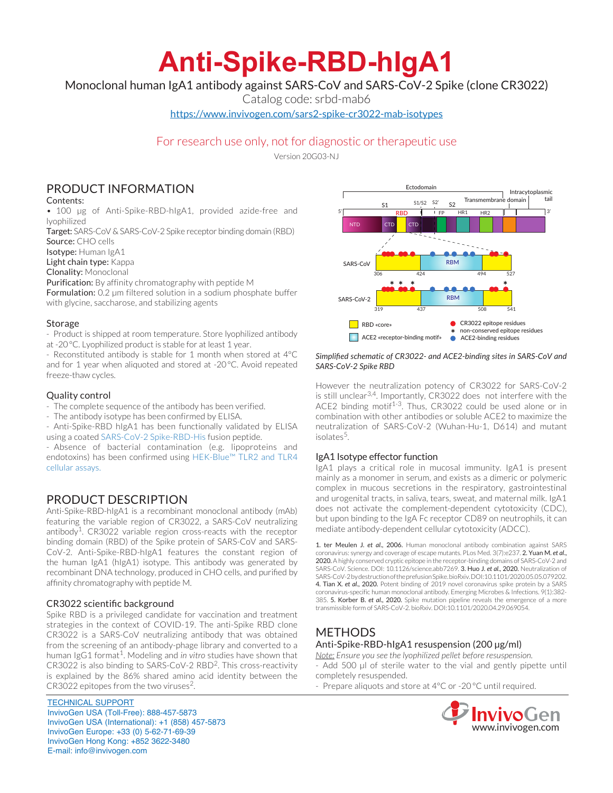# **Anti-Spike-RBD-hIgA1**

# Monoclonal human IgA1 antibody against SARS-CoV and SARS-CoV-2 Spike (clone CR3022)

Catalog code: srbd-mab6

https://www.invivogen.com/sars2-spike-cr3022-mab-isotypes

## For research use only, not for diagnostic or therapeutic use

Version 20G03-NJ

# PRODUCT INFORMATION

#### Contents:

• 100 µg of Anti-Spike-RBD-hIgA1, provided azide-free and lyophilized

Target: SARS-CoV & SARS-CoV-2 Spike receptor binding domain (RBD) Source: CHO cells

Isotype: Human IgA1

Light chain type: Kappa

Clonality: Monoclonal

Purification: By affinity chromatography with peptide M

Formulation: 0.2 µm filtered solution in a sodium phosphate buffer with glycine, saccharose, and stabilizing agents

#### Storage

- Product is shipped at room temperature. Store lyophilized antibody at -20°C. Lyophilized product is stable for at least 1 year.

- Reconstituted antibody is stable for 1 month when stored at 4°C and for 1 year when aliquoted and stored at -20°C. Avoid repeated freeze-thaw cycles.

#### Quality control

- The complete sequence of the antibody has been verified.

- The antibody isotype has been confirmed by ELISA.
- Anti-Spike-RBD hIgA1 has been functionally validated by ELISA using a coated SARS-CoV-2 Spike-RBD-His fusion peptide.

- Absence of bacterial contamination (e.g. lipoproteins and endotoxins) has been confirmed using HEK-Blue™ TLR2 and TLR4 cellular assays.

## PRODUCT DESCRIPTION

Anti-Spike-RBD-hIgA1 is a recombinant monoclonal antibody (mAb) featuring the variable region of CR3022, a SARS-CoV neutralizing antibody<sup>1</sup>. CR3022 variable region cross-reacts with the receptor binding domain (RBD) of the Spike protein of SARS-CoV and SARS-CoV-2. Anti-Spike-RBD-hIgA1 features the constant region of the human IgA1 (hIgA1) isotype. This antibody was generated by recombinant DNA technology, produced in CHO cells, and purified by affinity chromatography with peptide M.

#### CR3022 scientific background

Spike RBD is a privileged candidate for vaccination and treatment strategies in the context of COVID-19. The anti-Spike RBD clone CR3022 is a SARS-CoV neutralizing antibody that was obtained from the screening of an antibody-phage library and converted to a human IgG1 format<sup>1</sup>. Modeling and *in vitro* studies have shown that CR3022 is also binding to SARS-CoV-2 RBD2. This cross-reactivity is explained by the 86% shared amino acid identity between the CR3022 epitopes from the two viruses<sup>2</sup>.

TECHNICAL SUPPORT InvivoGen USA (Toll‑Free): 888-457-5873 InvivoGen USA (International): +1 (858) 457-5873 InvivoGen Europe: +33 (0) 5-62-71-69-39 InvivoGen Hong Kong: +852 3622-3480 E-mail: info@invivogen.com



#### *Simplified schematic of CR3022- and ACE2-binding sites in SARS-CoV and SARS-CoV-2 Spike RBD*

However the neutralization potency of CR3022 for SARS-CoV-2 is still unclear<sup>3,4</sup>. Importantly, CR3022 does not interfere with the ACE2 binding motif<sup>1-3</sup>. Thus, CR3022 could be used alone or in combination with other antibodies or soluble ACE2 to maximize the neutralization of SARS-CoV-2 (Wuhan-Hu-1, D614) and mutant isolates<sup>5</sup>.

#### IgA1 Isotype effector function

IgA1 plays a critical role in mucosal immunity. IgA1 is present mainly as a monomer in serum, and exists as a dimeric or polymeric complex in mucous secretions in the respiratory, gastrointestinal and urogenital tracts, in saliva, tears, sweat, and maternal milk. IgA1 does not activate the complement-dependent cytotoxicity (CDC), but upon binding to the IgA Fc receptor CD89 on neutrophils, it can mediate antibody-dependent cellular cytotoxicity (ADCC).

1. ter Meulen J. *et al*., 2006. Human monoclonal antibody combination against SARS coronavirus: synergy and coverage of escape mutants. PLos Med. 3(7):e237. 2. Yuan M. *et al*., 2020. A highly conserved cryptic epitope in the receptor-binding domains of SARS-CoV-2 and SARS-CoV. Science. DOI: 10.1126/science.abb7269. 3. Huo J. *et al*., 2020. Neutralization of SARS-CoV-2 by destruction of the prefusion Spike. bioRxiv. DOI:10.1101/2020.05.05.079202. 4. Tian X. *et al*., 2020. Potent binding of 2019 novel coronavirus spike protein by a SARS coronavirus-specific human monoclonal antibody. Emerging Microbes & Infections. 9(1):382- 385. 5. Korber B. *et al*., 2020. Spike mutation pipeline reveals the emergence of a more transmissible form of SARS-CoV-2. bioRxiv. DOI:10.1101/2020.04.29.069054.

# METHODS

### Anti-Spike-RBD-hIgA1 resuspension (200 µg/ml)

*Note: Ensure you see the lyophilized pellet before resuspension.* Add 500 µl of sterile water to the vial and gently pipette until completely resuspended.

- Prepare aliquots and store at 4°C or -20 °C until required.